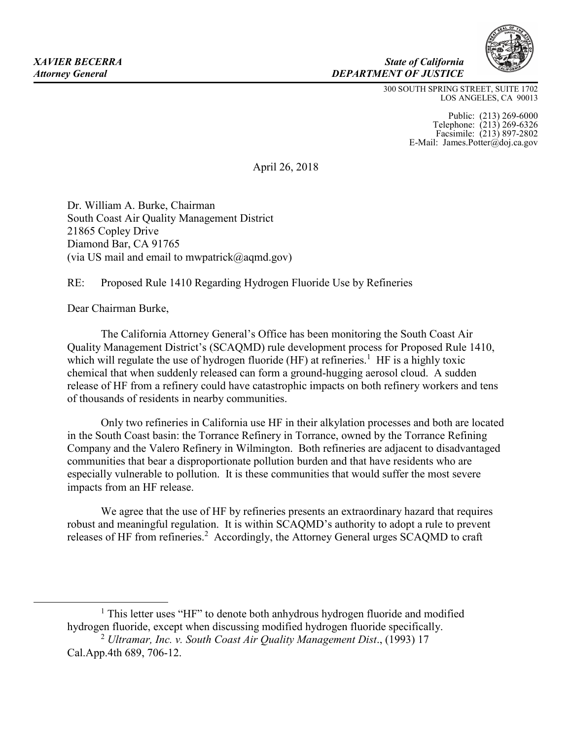#### *XAVIER BECERRA State of California Attorney General DEPARTMENT OF JUSTICE*

300 SOUTH SPRING STREET, SUITE 1702 LOS ANGELES, CA 90013

> Public: (213) 269-6000 Telephone: (213) 269-6326 Facsimile: (213) 897-2802 E-Mail: James.Potter@doj.ca.gov

April 26, 2018

Dr. William A. Burke, Chairman South Coast Air Quality Management District 21865 Copley Drive Diamond Bar, CA 91765 (via US mail and email to mwpatrick $(a)$ aqmd.gov)

RE: Proposed Rule 1410 Regarding Hydrogen Fluoride Use by Refineries

Dear Chairman Burke,

The California Attorney General's Office has been monitoring the South Coast Air Quality Management District's (SCAQMD) rule development process for Proposed Rule 1410, which will regulate the use of hydrogen fluoride  $(HF)$  at refineries.<sup>1</sup> HF is a highly toxic chemical that when suddenly released can form a ground-hugging aerosol cloud. A sudden release of HF from a refinery could have catastrophic impacts on both refinery workers and tens of thousands of residents in nearby communities.

Only two refineries in California use HF in their alkylation processes and both are located in the South Coast basin: the Torrance Refinery in Torrance, owned by the Torrance Refining Company and the Valero Refinery in Wilmington. Both refineries are adjacent to disadvantaged communities that bear a disproportionate pollution burden and that have residents who are especially vulnerable to pollution. It is these communities that would suffer the most severe impacts from an HF release.

We agree that the use of HF by refineries presents an extraordinary hazard that requires robust and meaningful regulation. It is within SCAQMD's authority to adopt a rule to prevent releases of HF from refineries.<sup>2</sup> Accordingly, the Attorney General urges SCAQMD to craft

<sup>&</sup>lt;u>1</u> <sup>1</sup> This letter uses "HF" to denote both anhydrous hydrogen fluoride and modified hydrogen fluoride, except when discussing modified hydrogen fluoride specifically.

<sup>2</sup> *Ultramar, Inc. v. South Coast Air Quality Management Dist*., (1993) 17 Cal.App.4th 689, 706-12.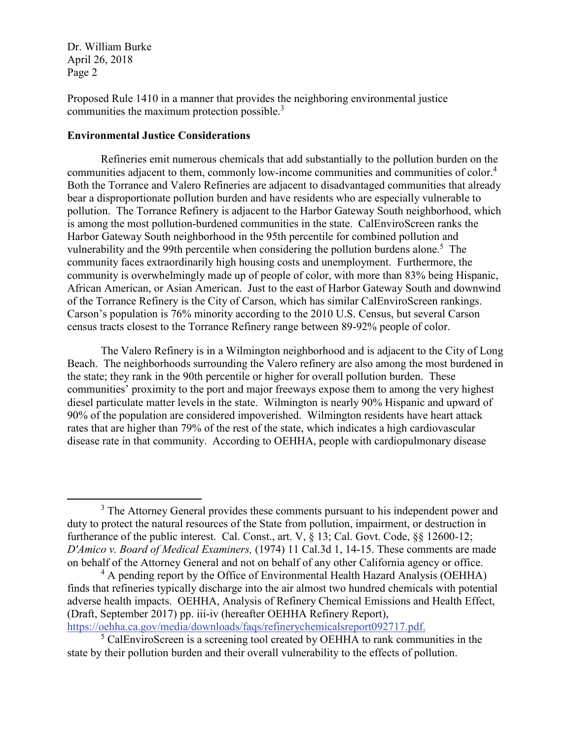Proposed Rule 1410 in a manner that provides the neighboring environmental justice communities the maximum protection possible. 3

## **Environmental Justice Considerations**

Refineries emit numerous chemicals that add substantially to the pollution burden on the communities adjacent to them, commonly low-income communities and communities of color. 4 Both the Torrance and Valero Refineries are adjacent to disadvantaged communities that already bear a disproportionate pollution burden and have residents who are especially vulnerable to pollution. The Torrance Refinery is adjacent to the Harbor Gateway South neighborhood, which is among the most pollution-burdened communities in the state. CalEnviroScreen ranks the Harbor Gateway South neighborhood in the 95th percentile for combined pollution and vulnerability and the 99th percentile when considering the pollution burdens alone.<sup>5</sup> The community faces extraordinarily high housing costs and unemployment. Furthermore, the community is overwhelmingly made up of people of color, with more than 83% being Hispanic, African American, or Asian American. Just to the east of Harbor Gateway South and downwind of the Torrance Refinery is the City of Carson, which has similar CalEnviroScreen rankings. Carson's population is 76% minority according to the 2010 U.S. Census, but several Carson census tracts closest to the Torrance Refinery range between 89-92% people of color.

The Valero Refinery is in a Wilmington neighborhood and is adjacent to the City of Long Beach. The neighborhoods surrounding the Valero refinery are also among the most burdened in the state; they rank in the 90th percentile or higher for overall pollution burden. These communities' proximity to the port and major freeways expose them to among the very highest diesel particulate matter levels in the state. Wilmington is nearly 90% Hispanic and upward of 90% of the population are considered impoverished. Wilmington residents have heart attack rates that are higher than 79% of the rest of the state, which indicates a high cardiovascular disease rate in that community. According to OEHHA, people with cardiopulmonary disease

<sup>&</sup>lt;sup>3</sup> The Attorney General provides these comments pursuant to his independent power and duty to protect the natural resources of the State from pollution, impairment, or destruction in furtherance of the public interest. Cal. Const., art. V, § 13; Cal. Govt. Code, §§ 12600-12; *D'Amico v. Board of Medical Examiners,* (1974) 11 Cal.3d 1, 14-15. These comments are made on behalf of the Attorney General and not on behalf of any other California agency or office.

 $4$  A pending report by the Office of Environmental Health Hazard Analysis (OEHHA) finds that refineries typically discharge into the air almost two hundred chemicals with potential adverse health impacts. OEHHA, Analysis of Refinery Chemical Emissions and Health Effect, (Draft, September 2017) pp. iii-iv (hereafter OEHHA Refinery Report), https://oehha.ca.gov/media/downloads/faqs/refinerychemicalsreport092717.pdf.

 $5$  CalEnviroScreen is a screening tool created by OEHHA to rank communities in the state by their pollution burden and their overall vulnerability to the effects of pollution.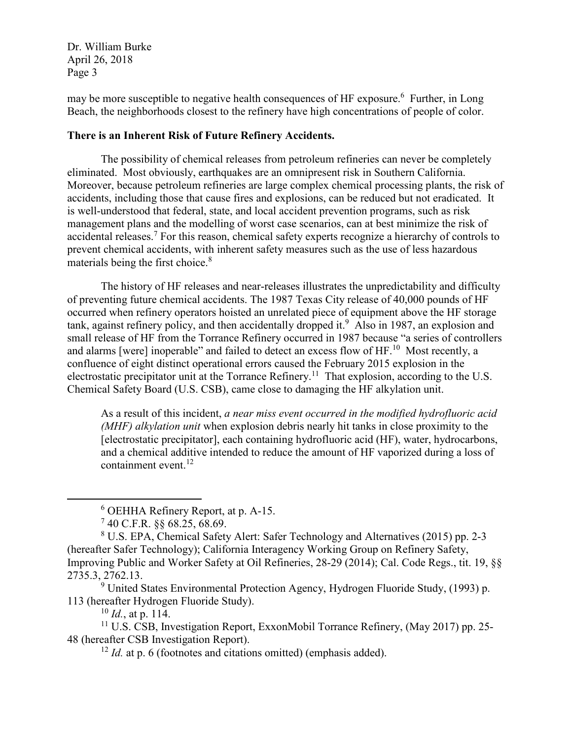may be more susceptible to negative health consequences of HF exposure.<sup>6</sup> Further, in Long Beach, the neighborhoods closest to the refinery have high concentrations of people of color.

# **There is an Inherent Risk of Future Refinery Accidents.**

The possibility of chemical releases from petroleum refineries can never be completely eliminated. Most obviously, earthquakes are an omnipresent risk in Southern California. Moreover, because petroleum refineries are large complex chemical processing plants, the risk of accidents, including those that cause fires and explosions, can be reduced but not eradicated. It is well-understood that federal, state, and local accident prevention programs, such as risk management plans and the modelling of worst case scenarios, can at best minimize the risk of accidental releases.<sup>7</sup> For this reason, chemical safety experts recognize a hierarchy of controls to prevent chemical accidents, with inherent safety measures such as the use of less hazardous materials being the first choice. 8

The history of HF releases and near-releases illustrates the unpredictability and difficulty of preventing future chemical accidents. The 1987 Texas City release of 40,000 pounds of HF occurred when refinery operators hoisted an unrelated piece of equipment above the HF storage tank, against refinery policy, and then accidentally dropped it. $9$  Also in 1987, an explosion and small release of HF from the Torrance Refinery occurred in 1987 because "a series of controllers and alarms [were] inoperable" and failed to detect an excess flow of HF.<sup>10</sup> Most recently, a confluence of eight distinct operational errors caused the February 2015 explosion in the electrostatic precipitator unit at the Torrance Refinery.<sup>11</sup> That explosion, according to the U.S. Chemical Safety Board (U.S. CSB), came close to damaging the HF alkylation unit.

As a result of this incident, *a near miss event occurred in the modified hydrofluoric acid (MHF) alkylation unit* when explosion debris nearly hit tanks in close proximity to the [electrostatic precipitator], each containing hydrofluoric acid (HF), water, hydrocarbons, and a chemical additive intended to reduce the amount of HF vaporized during a loss of containment event. $^{12}$ 

<sup>9</sup> United States Environmental Protection Agency, Hydrogen Fluoride Study, (1993) p. 113 (hereafter Hydrogen Fluoride Study).

 $^{10}$  *Id.*, at p. 114.

<sup>11</sup> U.S. CSB, Investigation Report, ExxonMobil Torrance Refinery, (May 2017) pp. 25- 48 (hereafter CSB Investigation Report).

<sup>12</sup> *Id.* at p. 6 (footnotes and citations omitted) (emphasis added).

 <sup>6</sup> OEHHA Refinery Report, at p. A-15.

 $740$  C.F.R. §§ 68.25, 68.69.

<sup>8</sup> U.S. EPA, Chemical Safety Alert: Safer Technology and Alternatives (2015) pp. 2-3 (hereafter Safer Technology); California Interagency Working Group on Refinery Safety, Improving Public and Worker Safety at Oil Refineries, 28-29 (2014); Cal. Code Regs., tit. 19, §§ 2735.3, 2762.13.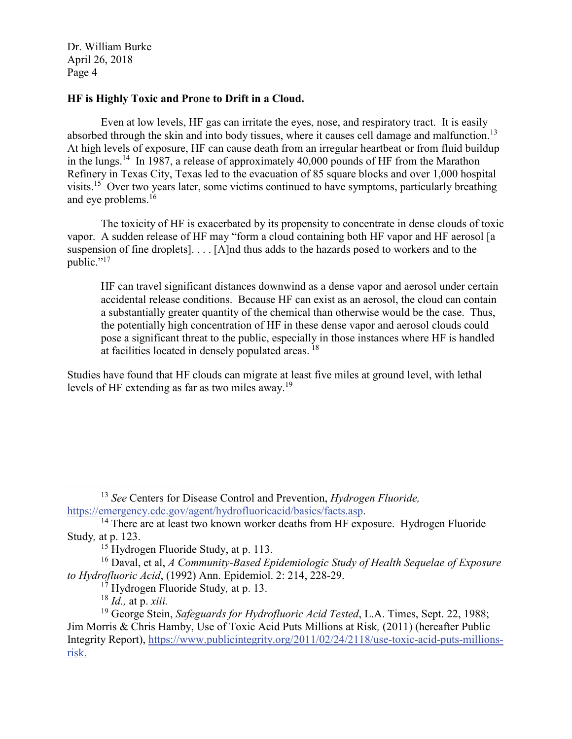# **HF is Highly Toxic and Prone to Drift in a Cloud.**

Even at low levels, HF gas can irritate the eyes, nose, and respiratory tract. It is easily absorbed through the skin and into body tissues, where it causes cell damage and malfunction.<sup>13</sup> At high levels of exposure, HF can cause death from an irregular heartbeat or from fluid buildup in the lungs.<sup>14</sup> In 1987, a release of approximately 40,000 pounds of HF from the Marathon Refinery in Texas City, Texas led to the evacuation of 85 square blocks and over 1,000 hospital visits.15 Over two years later, some victims continued to have symptoms, particularly breathing and eye problems.<sup>16</sup>

The toxicity of HF is exacerbated by its propensity to concentrate in dense clouds of toxic vapor. A sudden release of HF may "form a cloud containing both HF vapor and HF aerosol [a suspension of fine droplets]. . . . [A]nd thus adds to the hazards posed to workers and to the public."<sup>17</sup>

HF can travel significant distances downwind as a dense vapor and aerosol under certain accidental release conditions. Because HF can exist as an aerosol, the cloud can contain a substantially greater quantity of the chemical than otherwise would be the case. Thus, the potentially high concentration of HF in these dense vapor and aerosol clouds could pose a significant threat to the public, especially in those instances where HF is handled at facilities located in densely populated areas.<sup>18</sup>

Studies have found that HF clouds can migrate at least five miles at ground level, with lethal levels of HF extending as far as two miles away.<sup>19</sup>

<sup>&</sup>lt;sup>13</sup> *See* Centers for Disease Control and Prevention, *Hydrogen Fluoride*, https://emergency.cdc.gov/agent/hydrofluoricacid/basics/facts.asp.

 $14$  There are at least two known worker deaths from HF exposure. Hydrogen Fluoride Study*,* at p. 123.

<sup>&</sup>lt;sup>15</sup> Hydrogen Fluoride Study, at p. 113.

<sup>16</sup> Daval, et al, *A Community-Based Epidemiologic Study of Health Sequelae of Exposure to Hydrofluoric Acid*, (1992) Ann. Epidemiol. 2: 214, 228-29. 17 Hydrogen Fluoride Study*,* at p. 13.

<sup>18</sup> *Id.,* at p. *xiii.*

<sup>&</sup>lt;sup>19</sup> George Stein, *Safeguards for Hydrofluoric Acid Tested*, L.A. Times, Sept. 22, 1988; Jim Morris & Chris Hamby, Use of Toxic Acid Puts Millions at Risk*,* (2011) (hereafter Public Integrity Report), https://www.publicintegrity.org/2011/02/24/2118/use-toxic-acid-puts-millionsrisk.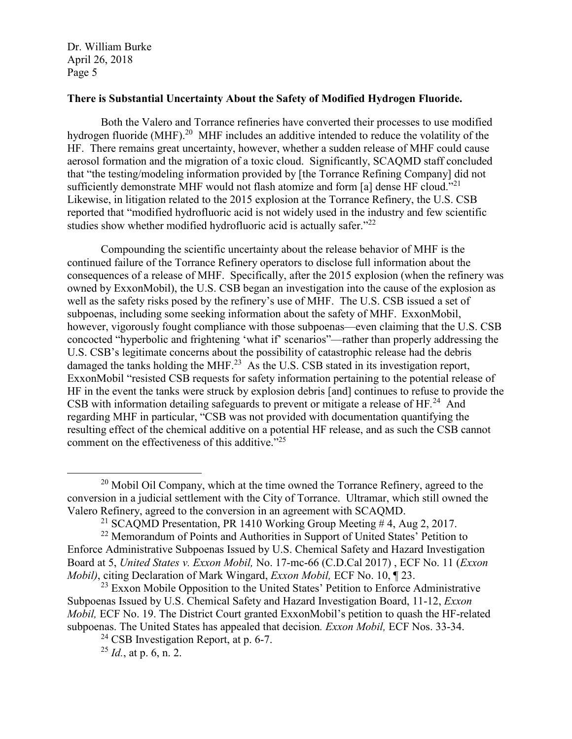## **There is Substantial Uncertainty About the Safety of Modified Hydrogen Fluoride.**

Both the Valero and Torrance refineries have converted their processes to use modified hydrogen fluoride (MHF).<sup>20</sup> MHF includes an additive intended to reduce the volatility of the HF. There remains great uncertainty, however, whether a sudden release of MHF could cause aerosol formation and the migration of a toxic cloud. Significantly, SCAQMD staff concluded that "the testing/modeling information provided by [the Torrance Refining Company] did not sufficiently demonstrate MHF would not flash atomize and form [a] dense HF cloud."<sup>21</sup> Likewise, in litigation related to the 2015 explosion at the Torrance Refinery, the U.S. CSB reported that "modified hydrofluoric acid is not widely used in the industry and few scientific studies show whether modified hydrofluoric acid is actually safer.<sup>"22</sup>

Compounding the scientific uncertainty about the release behavior of MHF is the continued failure of the Torrance Refinery operators to disclose full information about the consequences of a release of MHF. Specifically, after the 2015 explosion (when the refinery was owned by ExxonMobil), the U.S. CSB began an investigation into the cause of the explosion as well as the safety risks posed by the refinery's use of MHF. The U.S. CSB issued a set of subpoenas, including some seeking information about the safety of MHF. ExxonMobil, however, vigorously fought compliance with those subpoenas—even claiming that the U.S. CSB concocted "hyperbolic and frightening 'what if' scenarios"—rather than properly addressing the U.S. CSB's legitimate concerns about the possibility of catastrophic release had the debris damaged the tanks holding the MHF.<sup>23</sup> As the U.S. CSB stated in its investigation report, ExxonMobil "resisted CSB requests for safety information pertaining to the potential release of HF in the event the tanks were struck by explosion debris [and] continues to refuse to provide the CSB with information detailing safeguards to prevent or mitigate a release of HF*.* <sup>24</sup> And regarding MHF in particular, "CSB was not provided with documentation quantifying the resulting effect of the chemical additive on a potential HF release, and as such the CSB cannot comment on the effectiveness of this additive."25

<sup>&</sup>lt;sup>20</sup> Mobil Oil Company, which at the time owned the Torrance Refinery, agreed to the conversion in a judicial settlement with the City of Torrance. Ultramar, which still owned the Valero Refinery, agreed to the conversion in an agreement with SCAQMD.

<sup>&</sup>lt;sup>21</sup> SCAQMD Presentation, PR 1410 Working Group Meeting #4, Aug 2, 2017.

<sup>&</sup>lt;sup>22</sup> Memorandum of Points and Authorities in Support of United States' Petition to Enforce Administrative Subpoenas Issued by U.S. Chemical Safety and Hazard Investigation Board at 5, *United States v. Exxon Mobil,* No. 17-mc-66 (C.D.Cal 2017) , ECF No. 11 (*Exxon Mobil)*, citing Declaration of Mark Wingard, *Exxon Mobil,* ECF No. 10, ¶ 23.

 $^{23}$  Exxon Mobile Opposition to the United States' Petition to Enforce Administrative Subpoenas Issued by U.S. Chemical Safety and Hazard Investigation Board, 11-12, *Exxon Mobil, ECF No.* 19. The District Court granted ExxonMobil's petition to quash the HF-related subpoenas. The United States has appealed that decision*. Exxon Mobil,* ECF Nos. 33-34.

<sup>&</sup>lt;sup>24</sup> CSB Investigation Report, at p. 6-7.<br><sup>25</sup> *Id.*, at p. 6, n. 2.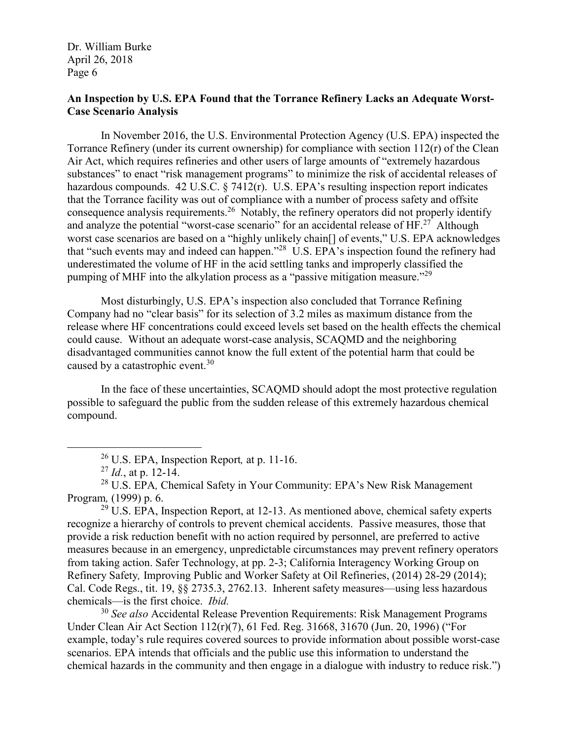# **An Inspection by U.S. EPA Found that the Torrance Refinery Lacks an Adequate Worst-Case Scenario Analysis**

In November 2016, the U.S. Environmental Protection Agency (U.S. EPA) inspected the Torrance Refinery (under its current ownership) for compliance with section  $112(r)$  of the Clean Air Act, which requires refineries and other users of large amounts of "extremely hazardous substances" to enact "risk management programs" to minimize the risk of accidental releases of hazardous compounds. 42 U.S.C. § 7412(r). U.S. EPA's resulting inspection report indicates that the Torrance facility was out of compliance with a number of process safety and offsite consequence analysis requirements.26 Notably, the refinery operators did not properly identify and analyze the potential "worst-case scenario" for an accidental release of  $HF<sup>27</sup>$  Although worst case scenarios are based on a "highly unlikely chain[] of events," U.S. EPA acknowledges that "such events may and indeed can happen."28 U.S. EPA's inspection found the refinery had underestimated the volume of HF in the acid settling tanks and improperly classified the pumping of MHF into the alkylation process as a "passive mitigation measure."<sup>29</sup>

Most disturbingly, U.S. EPA's inspection also concluded that Torrance Refining Company had no "clear basis" for its selection of 3.2 miles as maximum distance from the release where HF concentrations could exceed levels set based on the health effects the chemical could cause. Without an adequate worst-case analysis, SCAQMD and the neighboring disadvantaged communities cannot know the full extent of the potential harm that could be caused by a catastrophic event.<sup>30</sup>

In the face of these uncertainties, SCAQMD should adopt the most protective regulation possible to safeguard the public from the sudden release of this extremely hazardous chemical compound.

 $29 \text{ U.S. EPA}$ , Inspection Report, at 12-13. As mentioned above, chemical safety experts recognize a hierarchy of controls to prevent chemical accidents. Passive measures, those that provide a risk reduction benefit with no action required by personnel, are preferred to active measures because in an emergency, unpredictable circumstances may prevent refinery operators from taking action. Safer Technology, at pp. 2-3; California Interagency Working Group on Refinery Safety*,* Improving Public and Worker Safety at Oil Refineries, (2014) 28-29 (2014); Cal. Code Regs., tit. 19, §§ 2735.3, 2762.13. Inherent safety measures—using less hazardous chemicals—is the first choice. *Ibid.*

<sup>30</sup> *See also* Accidental Release Prevention Requirements: Risk Management Programs Under Clean Air Act Section 112(r)(7), 61 Fed. Reg. 31668, 31670 (Jun. 20, 1996) ("For example, today's rule requires covered sources to provide information about possible worst-case scenarios. EPA intends that officials and the public use this information to understand the chemical hazards in the community and then engage in a dialogue with industry to reduce risk.")

 <sup>26</sup> U.S. EPA, Inspection Report*,* at p. 11-16.

<sup>27</sup> *Id.*, at p. 12-14.

<sup>28</sup> U.S. EPA*,* Chemical Safety in Your Community: EPA's New Risk Management Program*,* (1999) p. 6.